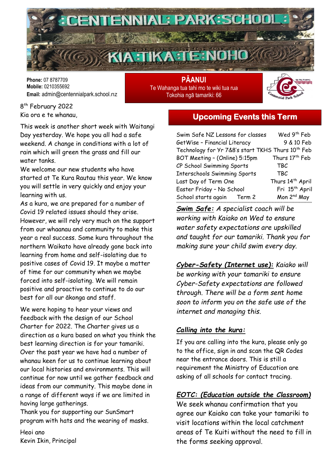

**Phone:** 07 8787709 **Mobile:** 0210355692 **Email:** admin@centennialpark.school.nz

**PĀANUI** Te Wahanga tua tahi mo te wiki tua rua Tokohia ngā tamariki: 66



8 th February 2022 Kia ora e te whanau,

This week is another short week with Waitangi Day yesterday. We hope you all had a safe weekend. A change in conditions with a lot of rain which will green the grass and fill our water tanks.

We welcome our new students who have started at Te Kura Rautau this year. We know you will settle in very quickly and enjoy your learning with us.

As a kura, we are prepared for a number of Covid 19 related issues should they arise. However, we will rely very much on the support from our whaanau and community to make this year a real success. Some kura throughout the northern Waikato have already gone back into learning from home and self-isolating due to positive cases of Covid 19. It maybe a matter of time for our community when we maybe forced into self-isolating. We will remain positive and proactive to continue to do our best for all our ākonga and staff.

We were hoping to hear your views and feedback with the design of our School Charter for 2022. The Charter gives us a direction as a kura based on what you think the best learning direction is for your tamariki. Over the past year we have had a number of whanau keen for us to continue learning about our local histories and environments. This will continue for now until we gather feedback and ideas from our community. This maybe done in a range of different ways if we are limited in having large gatherings.

Thank you for supporting our SunSmart program with hats and the wearing of masks.

Heoi ano Kevin Ikin, Principal

### **Upcoming Events this Term**

| Swim Safe NZ Lessons for classes                              | Wed 9 <sup>th</sup> Feb      |
|---------------------------------------------------------------|------------------------------|
|                                                               |                              |
| GetWise - Financial Literacy                                  | 9 & 10 Feb                   |
| Technology for Yr 7&8's start TKHS Thurs 10 <sup>th</sup> Feb |                              |
| BOT Meeting - (Online) 5:15pm                                 | Thurs 17 <sup>th</sup> Feb   |
| CP School Swimming Sports                                     | TBC                          |
| <b>Interschools Swimming Sports</b>                           | <b>TBC</b>                   |
| Last Day of Term One                                          | Thurs 14 <sup>th</sup> April |
| Easter Friday - No School                                     | Fri 15 <sup>th</sup> April   |
| School starts again Term 2                                    | Mon 2 <sup>nd</sup> May      |

*Swim Safe: A specialist coach will be working with Kaiako on Wed to ensure water safety expectations are upskilled and taught for our tamariki. Thank you for making sure your child swim every day.*

*Cyber-Safety (Internet use): Kaiako will be working with your tamariki to ensure Cyber-Safety expectations are followed through. There will be a form sent home soon to inform you on the safe use of the internet and managing this.* 

#### *Calling into the kura:*

If you are calling into the kura, please only go to the office, sign in and scan the QR Codes near the entrance doors. This is still a requirement the Ministry of Education are asking of all schools for contact tracing.

#### *EOTC: (Education outside the Classroom)*

We seek whanau confirmation that you agree our Kaiako can take your tamariki to visit locations within the local catchment areas of Te Kuiti without the need to fill in the forms seeking approval.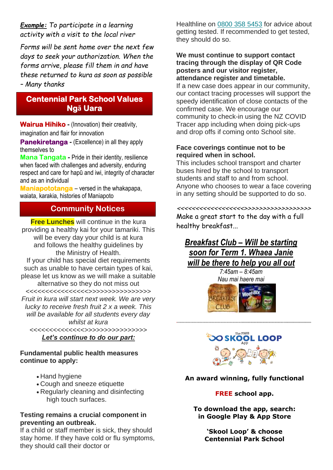*Example: To participate in a learning activity with a visit to the local river*

*Forms will be sent home over the next few days to seek your authorization. When the forms arrive, please fill them in and have these returned to kura as soon as possible – Many thanks*

#### **Centennial Park School Values Ngā Uara**

**Wairua Hihiko -** (Innovation) their creativity, imagination and flair for innovation

**Panekiretanga -** (Excellence) in all they apply themselves to

**Mana Tangata -** Pride in their identity, resilience when faced with challenges and adversity, enduring respect and care for hapū and iwi, integrity of character and as an individual

**Maniapototanga** – versed in the whakapapa, waiata, karakia, histories of Maniapoto

#### **Community Notices**

**Free Lunches** will continue in the kura providing a healthy kai for your tamariki. This will be every day your child is at kura and follows the healthy guidelines by the Ministry of Health. If your child has special diet requirements such as unable to have certain types of kai, please let us know as we will make a suitable alternative so they do not miss out *<<<<<<<<<<<<<<<<>>>>>>>>>>>>>>>> Fruit in kura will start next week. We are very lucky to receive fresh fruit 2 x a week. This will be available for all students every day whilst at kura <<<<<<<<<<<<<<>>>>>>>>>>>>>>>>*

*Let's continue to do our part:*

#### **Fundamental public health measures continue to apply:**

- Hand hygiene
- Cough and sneeze etiquette
- Regularly cleaning and disinfecting high touch surfaces.

#### **Testing remains a crucial component in preventing an outbreak.**

If a child or staff member is sick, they should stay home. If they have cold or flu symptoms, they should call their doctor or

Healthline on [0800](tel:08003585453) 358 5453 for advice about getting tested. If recommended to get tested, they should do so.

**We must continue to support contact tracing through the display of QR Code posters and our visitor register, attendance register and timetable.**

If a new case does appear in our community, our contact tracing processes will support the speedy identification of close contacts of the confirmed case. We encourage our community to check-in using the NZ COVID Tracer app including when doing pick-ups and drop offs if coming onto School site.

#### **Face coverings continue not to be required when in school.**

This includes school transport and charter buses hired by the school to transport students and staff to and from school. Anyone who chooses to wear a face covering in any setting should be supported to do so.

<<<<<<<<<<<<<<<<<<>>>>>>>>>>>>>>>>>> Make a great start to the day with a full healthy breakfast...

### *Breakfast Club – Will be starting soon for Term 1. Whaea Janie will be there to help you all out*

*7:45am – 8:45am Nau mai haere mai*





<<<<<<<<<<<<<<<<<<<<<<<<<<<<<<<<<<<<<<<<<<<<<<<<<<<<<<<<<<<<<<<<<<<<<<<<<<<<>>>>>>>>>>>>>>>>>>>>>>>>>>>>>>>>>>>>>>>>>>>>>>>>>>>>>>>>>>>>>>>>>>>>>>>>>>>>>>>>>>

#### **An award winning, fully functional**

#### **FREE school app.**

**To download the app, search: in Google Play & App Store**

> **'Skool Loop' & choose Centennial Park School**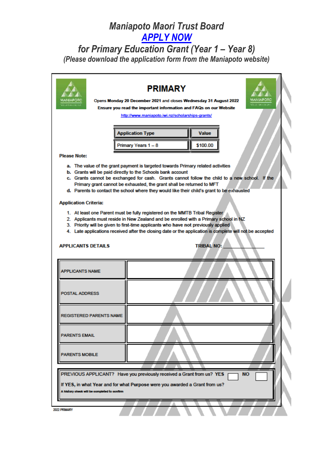# **Maniapoto Maori Trust Board APPLY NOW**

## for Primary Education Grant (Year 1 - Year 8) (Please download the application form from the Maniapoto website)

# **PRIMARY**

Opens Monday 20 December 2021 and closes Wednesday 31 August 2022 Ensure you read the important information and FAQs on our Website

http://www.maniapoto.iwi.nz/scholarships-grants/

| <b>Application Type</b> | Value    |
|-------------------------|----------|
| Primary Years 1 - 8     | \$100.00 |

#### **Please Note:**

- a. The value of the grant payment is targeted towards Primary related activities
- b. Grants will be paid directly to the Schools bank account
- c. Grants cannot be exchanged for cash. Grants cannot follow the child to a new school. If the Primary grant cannot be exhausted, the grant shall be returned to MFT
- d. Parents to contact the school where they would like their child's grant to be exhausted

#### **Application Criteria:**

ADDI ICANTE DETAILE

- 1. At least one Parent must be fully registered on the MMTB Tribal Register
- 2. Applicants must reside in New Zealand and be enrolled with a Primary school in NZ
- 3. Priority will be given to first-time applicants who have not previously applied
- 4. Late applications received after the closing date or the application is complete will not be accepted

TDIRAL NO-

| <b>I</b> CONTINUE                                                                                                                                                                                                 | . |
|-------------------------------------------------------------------------------------------------------------------------------------------------------------------------------------------------------------------|---|
| <b>APPLICANTS NAME</b>                                                                                                                                                                                            |   |
| <b>POSTAL ADDRESS</b>                                                                                                                                                                                             |   |
| <b>REGISTERED PARENTS NAME</b>                                                                                                                                                                                    |   |
| <b>PARENTS EMAIL</b>                                                                                                                                                                                              |   |
| <b>PARENTS MOBILE</b>                                                                                                                                                                                             |   |
|                                                                                                                                                                                                                   |   |
| PREVIOUS APPLICANT? Have you previously received a Grant from us? YES<br><b>NO</b><br>If YES, in what Year and for what Purpose were you awarded a Grant from us?<br>A hictory check will be completed to confirm |   |
|                                                                                                                                                                                                                   |   |
| 2022 PRIMARY                                                                                                                                                                                                      |   |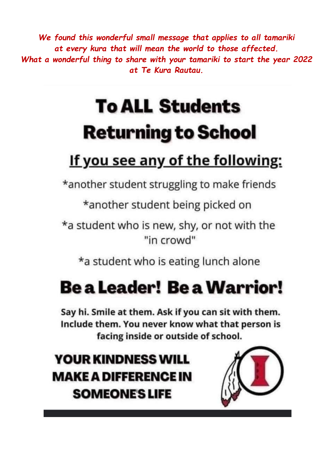We found this wonderful small message that applies to all tamariki at every kura that will mean the world to those affected. What a wonderful thing to share with your tamariki to start the year 2022 at Te Kura Rautau.

# **To ALL Students Returning to School**

# <u>If you see any of the following:</u>

\*another student struggling to make friends

\*another student being picked on

\*a student who is new, shy, or not with the "in crowd"

\*a student who is eating lunch alone

# **Be a Leader! Be a Warrior!**

Say hi. Smile at them. Ask if you can sit with them. Include them. You never know what that person is facing inside or outside of school.

**YOUR KINDNESS WILL MAKE A DIFFERENCE IN SOMEONE'S LIFE**